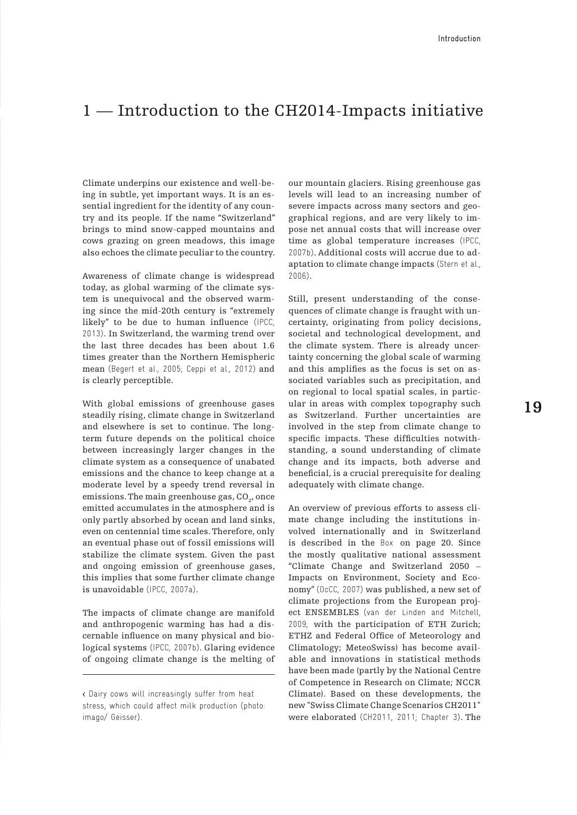## 1 – Introduction to the CH2014-Impacts initiative

Climate underpins our existence and well-being in subtle, yet important ways. It is an essential ingredient for the identity of any country and its people. If the name "Switzerland" brings to mind snow-capped mountains and cows grazing on green meadows, this image also echoes the climate peculiar to the country.

Awareness of climate change is widespread today, as global warming of the climate system is unequivocal and the observed warming since the mid-20th century is "extremely likely" to be due to human influence (IPCC, 2013). In Switzerland, the warming trend over the last three decades has been about 1.6 times greater than the Northern Hemispheric mean (Begert et al., 2005; Ceppi et al., 2012) and is clearly perceptible.

With global emissions of greenhouse gases steadily rising, climate change in Switzerland and elsewhere is set to continue. The longterm future depends on the political choice between increasingly larger changes in the climate system as a consequence of unabated emissions and the chance to keep change at a moderate level by a speedy trend reversal in emissions. The main greenhouse gas, CO<sub>2</sub>, once emitted accumulates in the atmosphere and is only partly absorbed by ocean and land sinks, even on centennial time scales. Therefore, only an eventual phase out of fossil emissions will stabilize the climate system. Given the past and ongoing emission of greenhouse gases, this implies that some further climate change is unavoidable (IPCC, 2007a).

The impacts of climate change are manifold and anthropogenic warming has had a discernable influence on many physical and biological systems (IPCC, 2007b). Glaring evidence of ongoing climate change is the melting of

our mountain glaciers. Rising greenhouse gas levels will lead to an increasing number of severe impacts across many sectors and geographical regions, and are very likely to impose net annual costs that will increase over time as global temperature increases (IPCC, 2007b). Additional costs will accrue due to adaptation to climate change impacts (Stern et al., 2006).

Still, present understanding of the consequences of climate change is fraught with uncertainty, originating from policy decisions, societal and technological development, and the climate system. There is already uncertainty concerning the global scale of warming and this amplifies as the focus is set on associated variables such as precipitation, and on regional to local spatial scales, in particular in areas with complex topography such as Switzerland. Further uncertainties are involved in the step from climate change to specific impacts. These difficulties notwithstanding, a sound understanding of climate change and its impacts, both adverse and beneficial, is a crucial prerequisite for dealing adequately with climate change.

An overview of previous efforts to assess climate change including the institutions involved internationally and in Switzerland is described in the Box on page 20. Since the mostly qualitative national assessment "Climate Change and Switzerland 2050 – Impacts on Environment, Society and Economy" (OcCC, 2007) was published, a new set of climate projections from the European project ENSEMBLES (van der Linden and Mitchell, 2009; with the participation of ETH Zurich; ETHZ and Federal Office of Meteorology and Climatology; MeteoSwiss) has become available and innovations in statistical methods have been made (partly by the National Centre of Competence in Research on Climate; NCCR Climate). Based on these developments, the new "Swiss Climate Change Scenarios CH2011" were elaborated (CH2011, 2011; Chapter 3). The

<sup>&</sup>lt; Dairy cows will increasingly suffer from heat stress, which could affect milk production (photo: imago/ Geisser).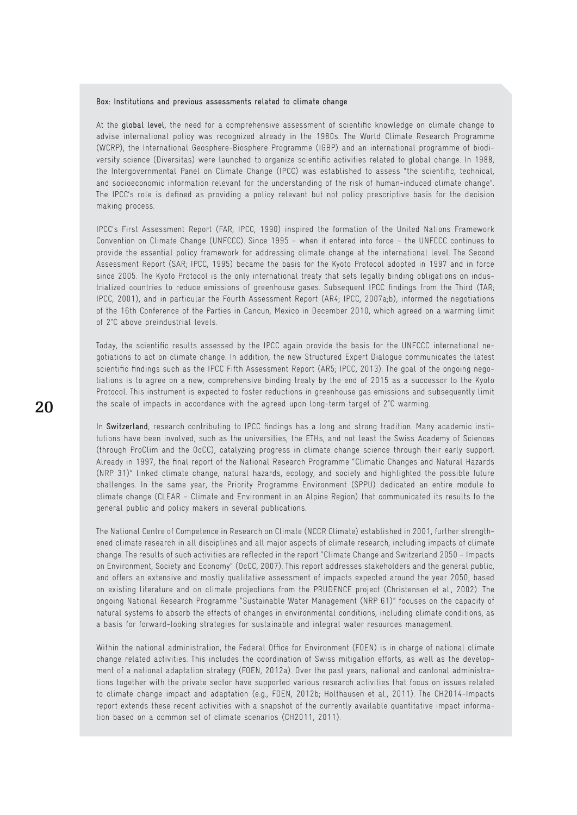## Box: Institutions and previous assessments related to climate change

At the global level, the need for a comprehensive assessment of scientific knowledge on climate change to advise international policy was recognized already in the 1980s. The World Climate Research Programme (WCRP), the International Geosphere-Biosphere Programme (IGBP) and an international programme of biodiversity science (Diversitas) were launched to organize scientific activities related to global change. In 1988, the Intergovernmental Panel on Climate Change (IPCC) was established to assess "the scientific, technical, and socioeconomic information relevant for the understanding of the risk of human-induced climate change". The IPCC's role is defined as providing a policy relevant but not policy prescriptive basis for the decision making process.

IPCC's First Assessment Report (FAR; IPCC, 1990) inspired the formation of the United Nations Framework Convention on Climate Change (UNFCCC). Since 1995 – when it entered into force – the UNFCCC continues to provide the essential policy framework for addressing climate change at the international level. The Second Assessment Report (SAR; IPCC, 1995) became the basis for the Kyoto Protocol adopted in 1997 and in force since 2005. The Kyoto Protocol is the only international treaty that sets legally binding obligations on industrialized countries to reduce emissions of greenhouse gases. Subsequent IPCC findings from the Third (TAR; IPCC, 2001), and in particular the Fourth Assessment Report (AR4; IPCC, 2007a;b), informed the negotiations of the 16th Conference of the Parties in Cancun, Mexico in December 2010, which agreed on a warming limit of 2°C above preindustrial levels.

Today, the scientific results assessed by the IPCC again provide the basis for the UNFCCC international negotiations to act on climate change. In addition, the new Structured Expert Dialogue communicates the latest scientific findings such as the IPCC Fifth Assessment Report (AR5; IPCC, 2013). The goal of the ongoing negotiations is to agree on a new, comprehensive binding treaty by the end of 2015 as a successor to the Kyoto Protocol. This instrument is expected to foster reductions in greenhouse gas emissions and subsequently limit the scale of impacts in accordance with the agreed upon long-term target of 2°C warming.

In Switzerland, research contributing to IPCC findings has a long and strong tradition. Many academic institutions have been involved, such as the universities, the ETHs, and not least the Swiss Academy of Sciences (through ProClim and the OcCC), catalyzing progress in climate change science through their early support. Already in 1997, the final report of the National Research Programme "Climatic Changes and Natural Hazards (NRP 31)" linked climate change, natural hazards, ecology, and society and highlighted the possible future challenges. In the same year, the Priority Programme Environment (SPPU) dedicated an entire module to climate change (CLEAR – Climate and Environment in an Alpine Region) that communicated its results to the general public and policy makers in several publications.

The National Centre of Competence in Research on Climate (NCCR Climate) established in 2001, further strengthened climate research in all disciplines and all major aspects of climate research, including impacts of climate change. The results of such activities are reflected in the report "Climate Change and Switzerland 2050 – Impacts on Environment, Society and Economy" (OcCC, 2007). This report addresses stakeholders and the general public, and offers an extensive and mostly qualitative assessment of impacts expected around the year 2050, based on existing literature and on climate projections from the PRUDENCE project (Christensen et al., 2002). The ongoing National Research Programme "Sustainable Water Management (NRP 61)" focuses on the capacity of natural systems to absorb the effects of changes in environmental conditions, including climate conditions, as a basis for forward-looking strategies for sustainable and integral water resources management.

Within the national administration, the Federal Office for Environment (FOEN) is in charge of national climate change related activities. This includes the coordination of Swiss mitigation efforts, as well as the development of a national adaptation strategy (FOEN, 2012a). Over the past years, national and cantonal administrations together with the private sector have supported various research activities that focus on issues related to climate change impact and adaptation (e.g., FOEN, 2012b; Holthausen et al., 2011). The CH2014-Impacts report extends these recent activities with a snapshot of the currently available quantitative impact information based on a common set of climate scenarios (CH2011, 2011).